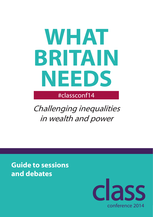# **WHAT BRITAIN NEEDS**

#classconf14

Challenging inequalities in wealth and power

**Guide to sessions and debates**

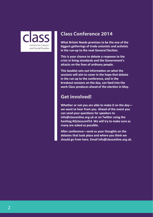

### **Class Conference 2014**

**What Britain Needs promises to be the one of the biggest gatherings of trade unionists and activists in the run-up to the next General Election.** 

**This is your chance to debate a response to the crisis in living standards and the Government's attacks on the lives of ordinary people.**

**This booklet sets out information on what the sessions will aim to cover in the hope that debate in the run up to the conference, and in the breakout sessions on the day, can feed into the work Class produces ahead of the election in May.** 

### **Get involved!**

**Whether or not you are able to make it on the day we want to hear from you. Ahead of the event you can send your questions for speakers to info@classonline.org.uk or on Twitter using the hashtag #Qclassconf14. We will try to make sure as many are asked as possible.** 

**After conference—send us your thoughts on the debates that took place and where you think we should go from here. Email info@classonline.org.uk.**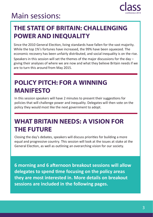### **Main sessions:**



### **THE STATE OF BRITAIN: CHALLENGING POWER AND INEQUALITY**

Since the 2010 General Election, living standards have fallen for the vast majority. While the top 1%'s fortunes have increased, the 99% have been squeezed. The economic recovery has been unfairly distributed, and social inequality is on the rise. Speakers in this session will set the themes of the major discussions for the day – giving their analyses of where we are now and what they believe Britain needs if we are to turn this around from May 2015.

### **POLICY PITCH: FOR A WINNING MANIFESTO**

In this session speakers will have 2 minutes to present their suggestions for policies that will challenge power and inequality. Delegates will then vote on the policy they would most like the next government to adopt.

### **WHAT BRITAIN NEEDS: A VISION FOR THE FUTURE**

Closing the day's debates, speakers will discuss priorities for building a more equal and progressive country. This session will look at the issues at stake at the General Election, as well as outlining an overarching vision for our society.

**6 morning and 6 afternoon breakout sessions will allow delegates to spend time focusing on the policy areas they are most interested in. More details on breakout sessions are included in the following pages.**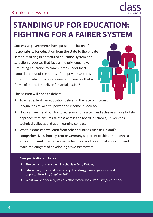

### **STANDING UP FOR EDUCATION: FIGHTING FOR A FAIRER SYSTEM**

Successive governments have passed the baton of responsibility for education from the state to the private sector, resulting in a fractured education system and selection processes that favour the privileged few. Returning education to communities under local control and out of the hands of the private sector is a must – but what policies are needed to ensure that all forms of education deliver for social justice?



This session will hope to debate:

- To what extent can education deliver in the face of growing inequalities of wealth, power and income in society?
- How can we mend our fractured education system and achieve a more holistic approach that ensures fairness across the board in schools, universities, technical colleges and adult learning centres.
- What lessons can we learn from other countries such as Finland's comprehensive school system or Germany's apprenticeships and technical education? And how can we value technical and vocational education and avoid the dangers of developing a two tier system?

- The politics of curriculum in schools *Terry Wrigley*
- Education, justice and democracy: The struggle over ignorance and opportunity – *Prof Stephen Ball*
- What would a socially just education system look like? *Prof Diane Reay*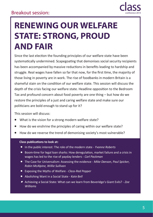

### **RENEWING OUR WELFARE STATE: STRONG, PROUD AND FAIR**

Since the last election the founding principles of our welfare state have been systematically undermined. Scapegoating that demonises social security recipients has been accompanied by massive reductions in benefits leading to hardship and struggle. Real wages have fallen so far that now, for the first time, the majority of those living in poverty are in work. The rise of foodbanks in modern Britain is a shameful stain on the condition of our welfare state. This session will discuss the depth of the crisis facing our welfare state. Headline opposition to the Bedroom Tax and profound concern about food poverty are one thing – but how do we restore the principles of a just and caring welfare state and make sure our politicians are bold enough to stand up for it?

This session will discuss:

- What is the vision for a strong modern welfare state?
- How do we enshrine the principles of caring within our welfare state?
- How do we reverse the trend of demonising society's most vulnerable?

- In the public interest: The role of the modern state *Yvonne Roberts*
- **•** Boom-time for legal loan sharks: How deregulation, market failure and a crisis in wages has led to the rise of payday lenders - *Carl Packman*
- The Case for Universalism: Assessing the evidence *Mike Danson, Paul Spicker, Robin McAlpine, Willie Sullivan*
- Exposing the Myths of Welfare *Class-Red Pepper*
- Abolishing Want in a Social State *Kate Bell*
- Achieving a Social State: What can we learn from Beveridge's Giant Evils? *Zoe Williams*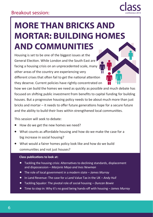

# **MORE THAN BRICKS AND MORTAR: BUILDING HOMES AND COMMUNITIES**

Housing is set to be one of the biggest issues at the General Election. While London and the South East are facing a housing crisis on an unprecedented scale, many other areas of the country are experiencing very different crises that often fail to get the national attention they deserve. Current policies have rightly concentrated on

how we can build the homes we need as quickly as possible and much debate has focused on shifting public investment from benefits to capital funding for building houses. But a progressive housing policy needs to be about much more than just bricks and mortar – it needs to offer future generations hope for a secure future and the ability to build their lives within strengthened local communities.

This session will seek to debate:

- How do we get the new homes we need?
- What counts as affordable housing and how do we make the case for a big increase in social housing?
- What would a fairer homes policy look like and how do we build communities and not just houses?

- Tackling the housing crisis: Alternatives to declining standards, displacement and dispossession – *Marjorie Mayo and Ines Newman*
- The role of local government in a modern state *James Murray*
- In Land Revenue: The case for a Land Value Tax in the UK *Andy Hull*
- Tackling Squalor: The pivotal role of social housing *Duncan Bowie*
- Time to step in: Why it's no good being hands-off with housing *James Murray*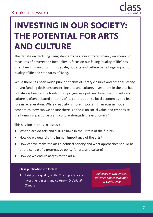

### **INVESTING IN OUR SOCIETY: THE POTENTIAL FOR ARTS AND CULTURE**

The debate on declining living standards has concentrated mainly on economic measures of poverty and inequality. A focus on our falling 'quality of life' has often been missing from this debate, but arts and culture has a huge impact on quality of life and standards of living.

While there has been much public criticism of library closures and other austerity -driven funding decisions concerning arts and culture, investment in the arts has not always been at the forefront of progressive policies. Investment in arts and culture is often debated in terms of its contribution to local economies and its role in regeneration. While creativity is more important than ever in modern economies, how can we ensure there is a focus on social value and emphasise the human impact of arts and culture alongside the economics?

This session intends to discuss:

- What place do arts and culture have in the Britain of the future?
- How do we quantify the human importance of the arts?
- How can we make the arts a political priority and what approaches should be at the centre of a progressive policy for arts and culture?
- How do we ensure access to the arts?

#### **Class publications to look at:**

 Raising our quality of life: The importance of investment in arts and culture – *Dr Abigail Gilmore*

*Released in November, advance copies available at conference*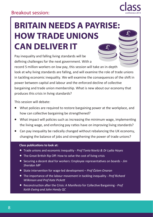# **BRITAIN NEEDS A PAYRISE: HOW TRADE UNIONS CAN DELIVER IT**

Pay inequality and falling living standards will be defining challenges for the next government. With a

record 5 million workers on low pay, this session will take an in-depth look at why living standards are falling, and will examine the role of trade unions in tackling economic inequality. We will examine the consequences of the shift in power between capital and labour and the enforced decline of collective bargaining and trade union membership. What is new about our economy that produces this crisis in living standards?

This session will debate:

- What policies are required to restore bargaining power at the workplace, and how can collective bargaining be strengthened?
- What impact will policies such as increasing the minimum wage, implementing the living wage, and enforcing pay ratios have on improving living standards?
- Can pay inequality be radically changed without rebalancing the UK economy, changing the balance of jobs and strengthening the power of trade unions?

- Trade unions and economic inequality *Prof Tonia Novitz & Dr Lydia Hayes*
- The Great British Rip Off: How to solve the cost of living crisis
- Securing a decent deal for workers: Employee representatives on boards *Jim Sheridan MP*
- State intervention for wage-led development *Prof Özlem Onaran*
- The importance of the labour movement in tackling inequality *Prof Richard Wilkinson and Prof Kate Pickett*
- Reconstruction after the Crisis: A Manifesto for Collective Bargaining *Prof Keith Ewing and John Hendy QC*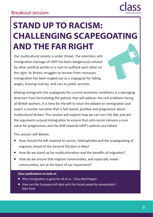

# **STAND UP TO RACISM: CHALLENGING SCAPEGOATING AND THE FAR RIGHT**

Our multicultural society is under threat. The relentless antiimmigration message of UKIP has been dangerously echoed by other political parties in a rush to outflank each other on the right. As Britain struggles to recover from recession, immigration has been singled out as a scapegoat for falling wages, housing scarcity, and cuts to public services.

Making immigrants the scapegoats for current economic conditions is a damaging diversion from formulating the policies that will address the real problems facing all British workers. It is time for the left to seize the debate on immigration and assert a counter narrative that is fact based, positive and progressive about multicultural Britain. This session will explore how we can turn the tide and win the arguments around immigration to ensure that anti-racism remains a core value for progressives and the drift towards UKIP's policies are halted.

This session will debate:

- How should the left respond to racism, Islamaphobia and the scapegoating of migrants ahead of the General Election in May?
- How do we stand up for multiculturalism and the benefits of migration?
- How do we ensure that migrant communities, and especially newer communities, are at the heart of our movement?

- Why immigration is good for all of us Class-Red Pepper
- How can the European left deal with the threat posed by xenophobia? *Glyn Ford*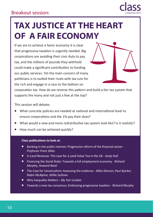

# **TAX JUSTICE AT THE HEART OF A FAIR ECONOMY**

If we are to achieve a fairer economy it is clear that progressive taxation is urgently needed. Big corporations are avoiding their civic duty to pay tax, and the millions of pounds they withhold could make a significant contribution to funding our public services. Yet the main concern of many politicians is to outbid their rivals with tax cuts for the rich and engage in a race to the bottom on

corporation tax. How do we reverse this pattern and build a fair tax system that supports the many and not just a few at the top?

This session will debate:

- What concrete policies are needed at national and international level to ensure corporations and the 1% pay their dues?
- What would a new and more redistributive tax system look like? Is it realistic?
- How much can be achieved quickly?

- Banking in the public interest: Progressive reform of the financial sector *Professor Prem Sikka*
- In Land Revenue: The case for a Land Value Tax in the UK *Andy Hull*
- Financing the Social State: Towards a full employment economy *Richard Murphy, Howard Reed*
- The Case for Universalism: Assessing the evidence *Mike Danson, Paul Spicker, Robin McAlpine, Willie Sullivan*
- Why Inequality Matters *My Fair London*
- Towards a new tax consensus: Embracing progressive taxation *Richard Murphy*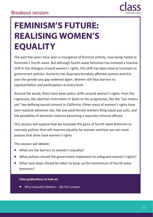

### **FEMINISM'S FUTURE: REALISING WOMEN'S EQUALITY**

The past five years have seen a resurgence of feminist activity, now being hailed as feminism's fourth wave. But although fourth-wave feminism has initiated a massive shift in the dialogue around women's rights, this shift has been slow to translate to government policies. Austerity has disproportionately affected women and this year the gender pay gap widened again. Women still face barriers to representation and participation at every level.

Around the world, there have been policy shifts around women's rights: from the regressive, like abortion restrictions in Spain to the progressive, like the "yes means yes" law defining sexual consent in California. Other areas of women's rights have seen massive advances too, like low-paid female workers filing equal pay suits, and the possibility of domestic violence becoming a separate criminal offence.

This session will explore how we translate the gains of fourth wave feminism to concrete policies that will improve equality for women and how we can resist policies that drive back women's rights.

This session will debate:

- What are the barriers to women's equality?
- What policies should the government implement to safeguard women's rights?
- What next steps should be taken to keep up the momentum of fourth wave feminism?

#### **Class publications to look at:**

Why Inequality Matters - *My Fair London*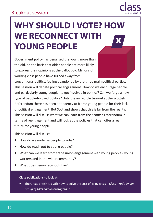

# **WHY SHOULD I VOTE? HOW WE RECONNECT WITH YOUNG PEOPLE**

Government policy has penalised the young more than the old, on the basis that older people are more likely to express their opinions at the ballot box. Millions of working class people have turned away from

conventional politics, feeling abandoned by the three main political parties. This session will debate political engagement. How do we encourage people, and particularly young people, to get involved in politics? Can we forge a new type of people-focused politics? Until the incredible turnout at the Scottish Referendum there has been a tendency to blame young people for their lack of political engagement. But Scotland shows that this is far from the reality. This session will discuss what we can learn from the Scottish referendum in terms of reengagement and will look at the policies that can offer a real future for young people.

This session will discuss:

- How do we mobilise people to vote?
- How do reach out to young people?
- What can we learn from trade union engagement with young people young workers and in the wider community?
- What does democracy look like?

#### **Class publications to look at:**

 The Great British Rip Off: How to solve the cost of living crisis - *Class, Trade Union Group of MPs and unionstogether*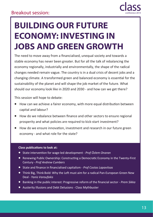

# **BUILDING OUR FUTURE ECONOMY: INVESTING IN JOBS AND GREEN GROWTH**

The need to move away from a financialised, unequal society and towards a stable economy has never been greater. But for all the talk of rebalancing the economy regionally, industrially and environmentally, the shape of the radical changes needed remain vague. The country is in a dual crisis of decent jobs and a changing climate. A transformed green and balanced economy is essential for the sustainability of the planet and will shape the job market of the future. What should our economy look like in 2020 and 2030 - and how can we get there?

This session will hope to debate:

- How can we achieve a fairer economy, with more equal distribution between capital and labour?
- How do we rebalance between finance and other sectors to ensure regional prosperity and what policies are required to kick-start investment?
- How do we ensure innovation, investment and research in our future green economy - and what role for the state?

- State intervention for wage-led development *Prof Özlem Onaran*
- Renewing Public Ownership: Constructing a Democratic Economy in the Twenty-First Century - *Prof Andrew Cumbers*
- State and finance in financialised capitalism *Prof Costas Lapavitsas*
- Think Big, Think Bold: Why the Left must aim for a radical Pan-European Green New Deal - *Yanis Varoufakis*
- Banking in the public interest: Progressive reform of the financial sector *Prem Sikka*
- Austerity Illusions and Debt Delusions Class Mythbuster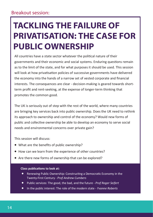# **TACKLING THE FAILURE OF PRIVATISATION: THE CASE FOR PUBLIC OWNERSHIP**

All countries have a state sector whatever the political nature of their governments and their economic and social systems. Enduring questions remain as to the limit of the state, and for what purposes it should be used. This session will look at how privatisation policies of successive governments have delivered the economy into the hands of a narrow set of vested corporate and financial interests. The consequences are clear - decision-making is geared towards shortterm profit and rent-seeking, at the expense of longer-term thinking that promotes the common good.

The UK is seriously out of step with the rest of the world, where many countries are bringing key services back into public ownership. Does the UK need to rethink its approach to ownership and control of the economy? Would new forms of public and collective ownership be able to develop an economy to serve social needs and environmental concerns over private gain?

This session will discuss:

- What are the benefits of public ownership?
- How can we learn from the experience of other countries?
- Are there new forms of ownership that can be explored?

- Renewing Public Ownership: Constructing a Democratic Economy in the Twenty-First Century - *Prof Andrew Cumbers*
- Public services: The good, the bad, and the future *Prof Roger Seifert*
- In the public interest: The role of the modern state *Yvonne Roberts*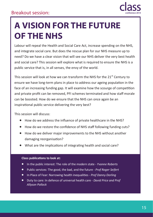

# **A VISION FOR THE FUTURE OF THE NHS**

Labour will repeal the Health and Social Care Act, increase spending on the NHS, and integrate social care. But does the rescue plan for our NHS measure up to need? Do we have a clear vision that will see our NHS deliver the very best health and social care? This session will explore what is required to ensure the NHS is a public service that is, in all senses, the envy of the world.

This session will look at how we can transform the NHS for the 21<sup>st</sup> Century to ensure we have long-term plans in place to address our ageing population in the face of an increasing funding gap. It will examine how the scourge of competition and private profit can be removed, PFI schemes terminated and how staff morale can be boosted. How do we ensure that the NHS can once again be an inspirational public service delivering the very best?

This session will discuss:

- How do we address the influence of private healthcare in the NHS?
- How do we restore the confidence of NHS staff following funding cuts?
- How do we deliver major improvements to the NHS without another damaging reorganisation?
- What are the implications of integrating health and social care?

- In the public interest: The role of the modern state *Yvonne Roberts*
- Public services: The good, the bad, and the future *Prof Roger Seifert*
- In Place of Fear: Narrowing health inequalities *Prof Danny Dorling*
- Duty to care: In defence of universal health care *David Price and Prof Allyson Pollock*